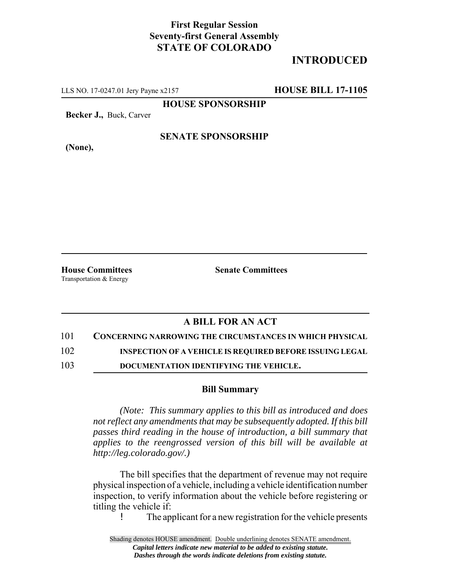## **First Regular Session Seventy-first General Assembly STATE OF COLORADO**

## **INTRODUCED**

LLS NO. 17-0247.01 Jery Payne x2157 **HOUSE BILL 17-1105**

**HOUSE SPONSORSHIP**

**Becker J.,** Buck, Carver

**(None),**

#### **SENATE SPONSORSHIP**

Transportation & Energy

**House Committees Senate Committees**

### **A BILL FOR AN ACT**

101 **CONCERNING NARROWING THE CIRCUMSTANCES IN WHICH PHYSICAL**

102 **INSPECTION OF A VEHICLE IS REQUIRED BEFORE ISSUING LEGAL**

103 **DOCUMENTATION IDENTIFYING THE VEHICLE.**

#### **Bill Summary**

*(Note: This summary applies to this bill as introduced and does not reflect any amendments that may be subsequently adopted. If this bill passes third reading in the house of introduction, a bill summary that applies to the reengrossed version of this bill will be available at http://leg.colorado.gov/.)*

The bill specifies that the department of revenue may not require physical inspection of a vehicle, including a vehicle identification number inspection, to verify information about the vehicle before registering or titling the vehicle if:

! The applicant for a new registration for the vehicle presents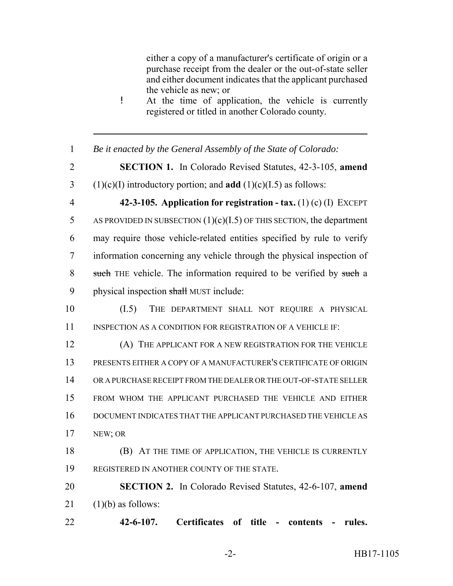either a copy of a manufacturer's certificate of origin or a purchase receipt from the dealer or the out-of-state seller and either document indicates that the applicant purchased the vehicle as new; or

- ! At the time of application, the vehicle is currently registered or titled in another Colorado county.
- *Be it enacted by the General Assembly of the State of Colorado:*
- 

**SECTION 1.** In Colorado Revised Statutes, 42-3-105, **amend**

(1)(c)(I) introductory portion; and **add** (1)(c)(I.5) as follows:

 **42-3-105. Application for registration - tax.** (1) (c) (I) EXCEPT 5 AS PROVIDED IN SUBSECTION  $(1)(c)(I.5)$  OF THIS SECTION, the department may require those vehicle-related entities specified by rule to verify information concerning any vehicle through the physical inspection of 8 such THE vehicle. The information required to be verified by such a 9 physical inspection shall MUST include:

 (I.5) THE DEPARTMENT SHALL NOT REQUIRE A PHYSICAL 11 INSPECTION AS A CONDITION FOR REGISTRATION OF A VEHICLE IF:

 (A) THE APPLICANT FOR A NEW REGISTRATION FOR THE VEHICLE PRESENTS EITHER A COPY OF A MANUFACTURER'S CERTIFICATE OF ORIGIN OR A PURCHASE RECEIPT FROM THE DEALER OR THE OUT-OF-STATE SELLER FROM WHOM THE APPLICANT PURCHASED THE VEHICLE AND EITHER DOCUMENT INDICATES THAT THE APPLICANT PURCHASED THE VEHICLE AS NEW; OR

 (B) AT THE TIME OF APPLICATION, THE VEHICLE IS CURRENTLY REGISTERED IN ANOTHER COUNTY OF THE STATE.

 **SECTION 2.** In Colorado Revised Statutes, 42-6-107, **amend** (1)(b) as follows:

**42-6-107. Certificates of title - contents - rules.**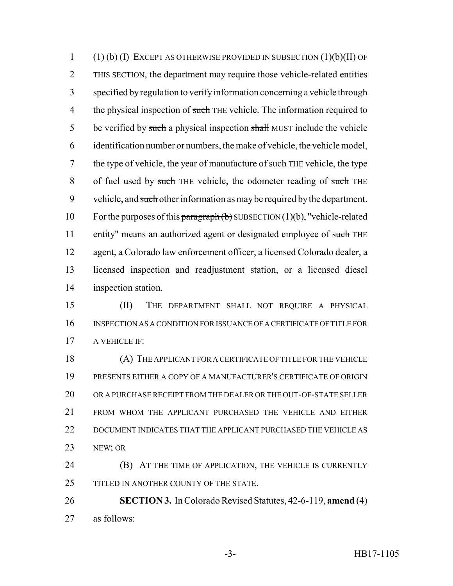(1) (b) (I) EXCEPT AS OTHERWISE PROVIDED IN SUBSECTION (1)(b)(II) OF THIS SECTION, the department may require those vehicle-related entities specified by regulation to verify information concerning a vehicle through 4 the physical inspection of such THE vehicle. The information required to 5 be verified by such a physical inspection shall MUST include the vehicle identification number or numbers, the make of vehicle, the vehicle model, 7 the type of vehicle, the year of manufacture of such THE vehicle, the type 8 of fuel used by such THE vehicle, the odometer reading of such THE 9 vehicle, and such other information as may be required by the department. 10 For the purposes of this paragraph  $(b)$  SUBSECTION  $(1)(b)$ , "vehicle-related 11 entity" means an authorized agent or designated employee of such THE agent, a Colorado law enforcement officer, a licensed Colorado dealer, a licensed inspection and readjustment station, or a licensed diesel inspection station.

 (II) THE DEPARTMENT SHALL NOT REQUIRE A PHYSICAL INSPECTION AS A CONDITION FOR ISSUANCE OF A CERTIFICATE OF TITLE FOR A VEHICLE IF:

 (A) THE APPLICANT FOR A CERTIFICATE OF TITLE FOR THE VEHICLE PRESENTS EITHER A COPY OF A MANUFACTURER'S CERTIFICATE OF ORIGIN OR A PURCHASE RECEIPT FROM THE DEALER OR THE OUT-OF-STATE SELLER FROM WHOM THE APPLICANT PURCHASED THE VEHICLE AND EITHER DOCUMENT INDICATES THAT THE APPLICANT PURCHASED THE VEHICLE AS NEW; OR

 (B) AT THE TIME OF APPLICATION, THE VEHICLE IS CURRENTLY 25 TITLED IN ANOTHER COUNTY OF THE STATE.

 **SECTION 3.** In Colorado Revised Statutes, 42-6-119, **amend** (4) as follows: